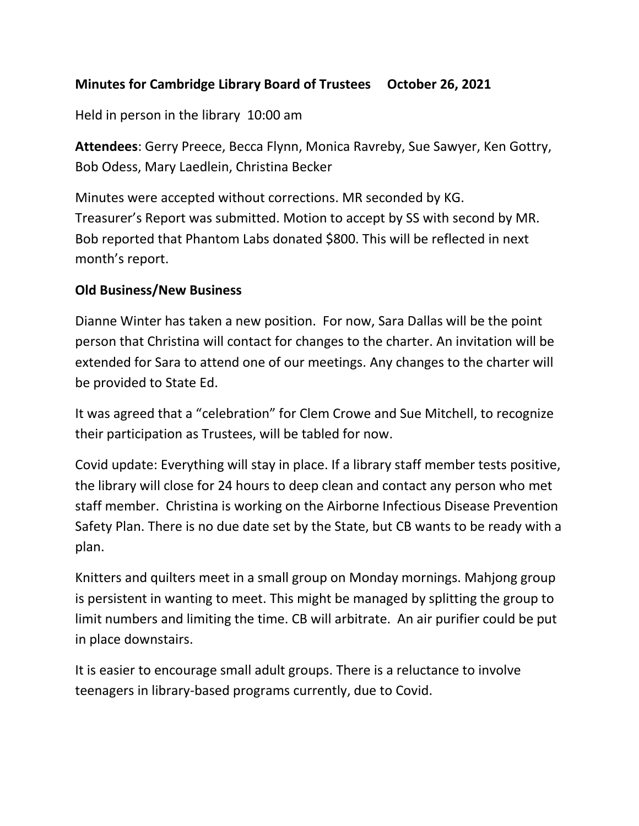## **Minutes for Cambridge Library Board of Trustees October 26, 2021**

Held in person in the library 10:00 am

**Attendees**: Gerry Preece, Becca Flynn, Monica Ravreby, Sue Sawyer, Ken Gottry, Bob Odess, Mary Laedlein, Christina Becker

Minutes were accepted without corrections. MR seconded by KG. Treasurer's Report was submitted. Motion to accept by SS with second by MR. Bob reported that Phantom Labs donated \$800. This will be reflected in next month's report.

## **Old Business/New Business**

Dianne Winter has taken a new position. For now, Sara Dallas will be the point person that Christina will contact for changes to the charter. An invitation will be extended for Sara to attend one of our meetings. Any changes to the charter will be provided to State Ed.

It was agreed that a "celebration" for Clem Crowe and Sue Mitchell, to recognize their participation as Trustees, will be tabled for now.

Covid update: Everything will stay in place. If a library staff member tests positive, the library will close for 24 hours to deep clean and contact any person who met staff member. Christina is working on the Airborne Infectious Disease Prevention Safety Plan. There is no due date set by the State, but CB wants to be ready with a plan.

Knitters and quilters meet in a small group on Monday mornings. Mahjong group is persistent in wanting to meet. This might be managed by splitting the group to limit numbers and limiting the time. CB will arbitrate. An air purifier could be put in place downstairs.

It is easier to encourage small adult groups. There is a reluctance to involve teenagers in library-based programs currently, due to Covid.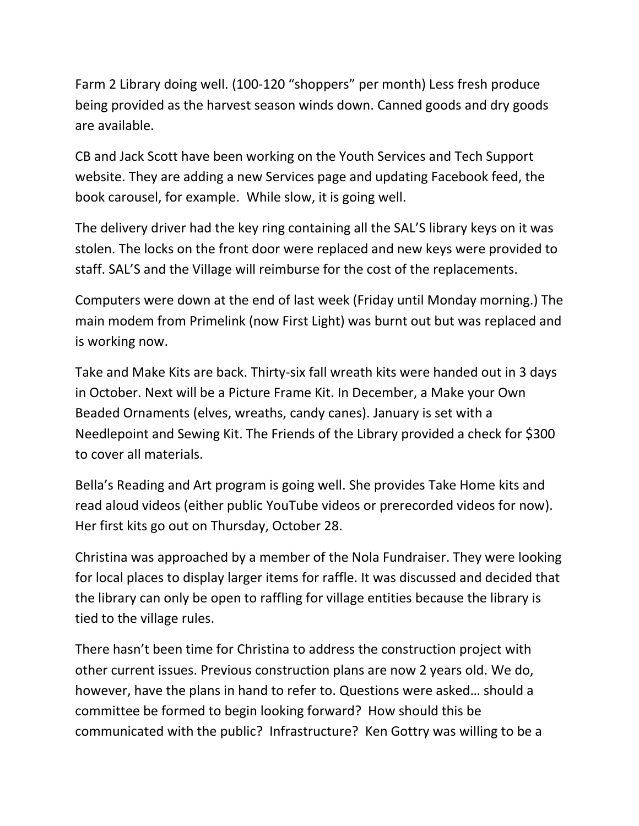Farm 2 Library doing well. (100-120 "shoppers" per month) Less fresh produce being provided as the harvest season winds down. Canned goods and dry goods are available.

CB and Jack Scott have been working on the Youth Services and Tech Support website. They are adding a new Services page and updating Facebook feed, the book carousel, for example. While slow, it is going well.

The delivery driver had the key ring containing all the SAL'S library keys on it was stolen. The locks on the front door were replaced and new keys were provided to staff. SAL'S and the Village will reimburse for the cost of the replacements.

Computers were down at the end of last week (Friday until Monday morning.) The main modem from Primelink (now First Light) was burnt out but was replaced and is working now.

Take and Make Kits are back. Thirty-six fall wreath kits were handed out in 3 days in October. Next will be a Picture Frame Kit. In December, a Make your Own Beaded Ornaments (elves, wreaths, candy canes). January is set with a Needlepoint and Sewing Kit. The Friends of the Library provided a check for \$300 to cover all materials.

Bella's Reading and Art program is going well. She provides Take Home kits and read aloud videos (either public YouTube videos or prerecorded videos for now). Her first kits go out on Thursday, October 28.

Christina was approached by a member of the Nola Fundraiser. They were looking for local places to display larger items for raffle. It was discussed and decided that the library can only be open to raffling for village entities because the library is tied to the village rules.

There hasn't been time for Christina to address the construction project with other current issues. Previous construction plans are now 2 years old. We do, however, have the plans in hand to refer to. Questions were asked… should a committee be formed to begin looking forward? How should this be communicated with the public? Infrastructure? Ken Gottry was willing to be a